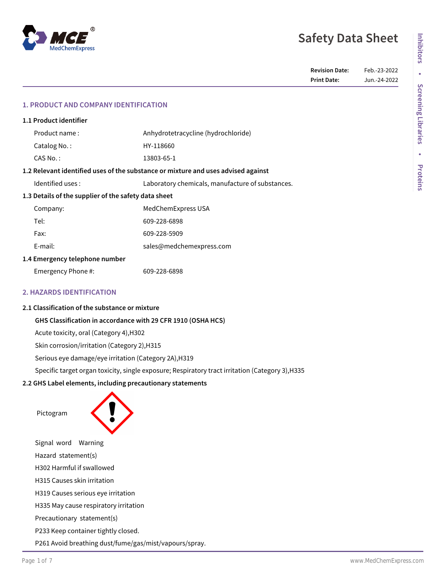

| <b>Revision Date:</b> | Feb.-23-2022 |
|-----------------------|--------------|
| <b>Print Date:</b>    | Jun.-24-2022 |

# **1. PRODUCT AND COMPANY IDENTIFICATION**

| 1.1 Product identifier                                                            |                                                  |  |
|-----------------------------------------------------------------------------------|--------------------------------------------------|--|
| Product name:                                                                     | Anhydrotetracycline (hydrochloride)              |  |
| Catalog No.:                                                                      | HY-118660                                        |  |
| CAS No.:                                                                          | 13803-65-1                                       |  |
| 1.2 Relevant identified uses of the substance or mixture and uses advised against |                                                  |  |
| Identified uses:                                                                  | Laboratory chemicals, manufacture of substances. |  |
| 1.3 Details of the supplier of the safety data sheet                              |                                                  |  |
| Company:                                                                          | MedChemExpress USA                               |  |
| Tel:                                                                              | 609-228-6898                                     |  |
| Fax:                                                                              | 609-228-5909                                     |  |
| F-mail:                                                                           | sales@medchemexpress.com                         |  |
| 1.4 Emergency telephone number                                                    |                                                  |  |
| Emergency Phone #:                                                                | 609-228-6898                                     |  |
|                                                                                   |                                                  |  |

# **2. HAZARDS IDENTIFICATION**

#### **2.1 Classification of the substance or mixture**

# **GHS Classification in accordance with 29 CFR 1910 (OSHA HCS)**

Acute toxicity, oral (Category 4),H302

Skin corrosion/irritation (Category 2),H315

Serious eye damage/eye irritation (Category 2A),H319

Specific target organ toxicity, single exposure; Respiratory tract irritation (Category 3),H335

# **2.2 GHS Label elements, including precautionary statements**

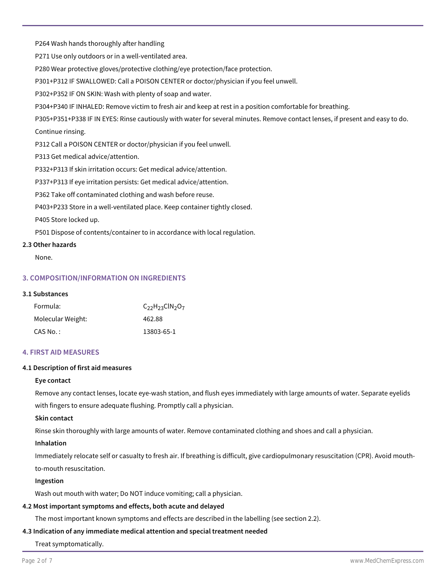P264 Wash hands thoroughly after handling

P271 Use only outdoors or in a well-ventilated area.

P280 Wear protective gloves/protective clothing/eye protection/face protection.

P301+P312 IF SWALLOWED: Call a POISON CENTER or doctor/physician if you feel unwell.

P302+P352 IF ON SKIN: Wash with plenty of soap and water.

P304+P340 IF INHALED: Remove victim to fresh air and keep at rest in a position comfortable for breathing.

P305+P351+P338 IF IN EYES: Rinse cautiously with water for several minutes. Remove contact lenses, if present and easy to do. Continue rinsing.

P312 Call a POISON CENTER or doctor/physician if you feel unwell.

P313 Get medical advice/attention.

P332+P313 If skin irritation occurs: Get medical advice/attention.

P337+P313 If eye irritation persists: Get medical advice/attention.

P362 Take off contaminated clothing and wash before reuse.

P403+P233 Store in a well-ventilated place. Keep container tightly closed.

P405 Store locked up.

P501 Dispose of contents/container to in accordance with local regulation.

## **2.3 Other hazards**

None.

# **3. COMPOSITION/INFORMATION ON INGREDIENTS**

## **3.1 Substances**

| Formula:          | $C_{22}H_{23}$ ClN <sub>2</sub> O <sub>7</sub> |
|-------------------|------------------------------------------------|
| Molecular Weight: | 462.88                                         |
| CAS No.:          | 13803-65-1                                     |

## **4. FIRST AID MEASURES**

# **4.1 Description of first aid measures**

## **Eye contact**

Remove any contact lenses, locate eye-wash station, and flush eyes immediately with large amounts of water. Separate eyelids with fingers to ensure adequate flushing. Promptly call a physician.

## **Skin contact**

Rinse skin thoroughly with large amounts of water. Remove contaminated clothing and shoes and call a physician.

## **Inhalation**

Immediately relocate self or casualty to fresh air. If breathing is difficult, give cardiopulmonary resuscitation (CPR). Avoid mouthto-mouth resuscitation.

# **Ingestion**

Wash out mouth with water; Do NOT induce vomiting; call a physician.

# **4.2 Most important symptoms and effects, both acute and delayed**

The most important known symptoms and effects are described in the labelling (see section 2.2).

# **4.3 Indication of any immediate medical attention and special treatment needed**

Treat symptomatically.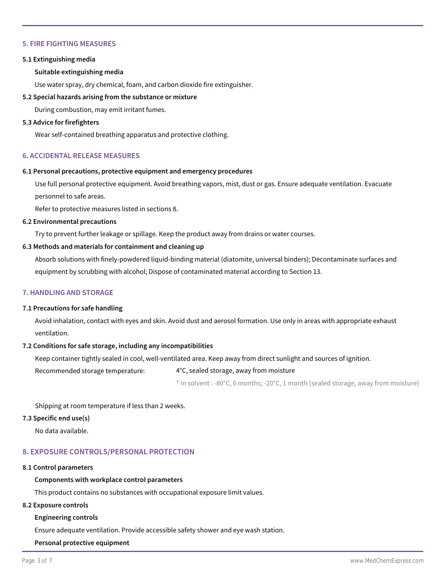# **5. FIRE FIGHTING MEASURES**

#### **5.1 Extinguishing media**

### **Suitable extinguishing media**

Use water spray, dry chemical, foam, and carbon dioxide fire extinguisher.

# **5.2 Special hazards arising from the substance or mixture**

During combustion, may emit irritant fumes.

#### **5.3 Advice for firefighters**

Wear self-contained breathing apparatus and protective clothing.

## **6. ACCIDENTAL RELEASE MEASURES**

#### **6.1 Personal precautions, protective equipment and emergency procedures**

Use full personal protective equipment. Avoid breathing vapors, mist, dust or gas. Ensure adequate ventilation. Evacuate personnel to safe areas.

Refer to protective measures listed in sections 8.

#### **6.2 Environmental precautions**

Try to prevent further leakage or spillage. Keep the product away from drains or water courses.

#### **6.3 Methods and materials for containment and cleaning up**

Absorb solutions with finely-powdered liquid-binding material (diatomite, universal binders); Decontaminate surfaces and equipment by scrubbing with alcohol; Dispose of contaminated material according to Section 13.

## **7. HANDLING AND STORAGE**

### **7.1 Precautions for safe handling**

Avoid inhalation, contact with eyes and skin. Avoid dust and aerosol formation. Use only in areas with appropriate exhaust ventilation.

## **7.2 Conditions for safe storage, including any incompatibilities**

Keep container tightly sealed in cool, well-ventilated area. Keep away from direct sunlight and sources of ignition.

Recommended storage temperature: 4°C, sealed storage, away from moisture

\* In solvent : -80°C, 6 months; -20°C, 1 month (sealed storage, away from moisture)

Shipping at room temperature if less than 2 weeks.

#### **7.3 Specific end use(s)**

No data available.

## **8. EXPOSURE CONTROLS/PERSONAL PROTECTION**

#### **8.1 Control parameters**

# **Components with workplace control parameters**

This product contains no substances with occupational exposure limit values.

#### **8.2 Exposure controls**

#### **Engineering controls**

Ensure adequate ventilation. Provide accessible safety shower and eye wash station.

## **Personal protective equipment**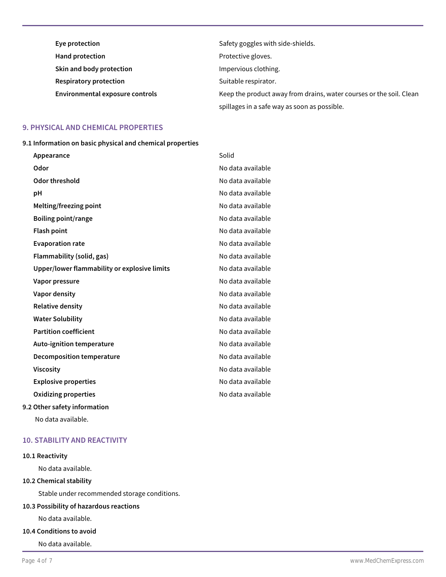| Eye protection                  | Safety goggles with side-shields.                                   |
|---------------------------------|---------------------------------------------------------------------|
| <b>Hand protection</b>          | Protective gloves.                                                  |
| Skin and body protection        | Impervious clothing.                                                |
| <b>Respiratory protection</b>   | Suitable respirator.                                                |
| Environmental exposure controls | Keep the product away from drains, water courses or the soil. Clean |
|                                 | spillages in a safe way as soon as possible.                        |

## **9. PHYSICAL AND CHEMICAL PROPERTIES**

**9.1 Information on basic physical and chemical properties**

| Appearance                                   | Solid             |
|----------------------------------------------|-------------------|
| Odor                                         | No data available |
| Odor threshold                               | No data available |
| рH                                           | No data available |
| Melting/freezing point                       | No data available |
| <b>Boiling point/range</b>                   | No data available |
| <b>Flash point</b>                           | No data available |
| <b>Evaporation rate</b>                      | No data available |
| Flammability (solid, gas)                    | No data available |
| Upper/lower flammability or explosive limits | No data available |
| Vapor pressure                               | No data available |
| Vapor density                                | No data available |
| <b>Relative density</b>                      | No data available |
| <b>Water Solubility</b>                      | No data available |
| <b>Partition coefficient</b>                 | No data available |
| Auto-ignition temperature                    | No data available |
| Decomposition temperature                    | No data available |
| <b>Viscosity</b>                             | No data available |
| <b>Explosive properties</b>                  | No data available |
| Oxidizing properties                         | No data available |
|                                              |                   |

# **9.2 Other safety information**

No data available.

# **10. STABILITY AND REACTIVITY**

#### **10.1 Reactivity**

No data available.

# **10.2 Chemical stability**

Stable under recommended storage conditions.

# **10.3 Possibility of hazardous reactions**

No data available.

# **10.4 Conditions to avoid**

No data available.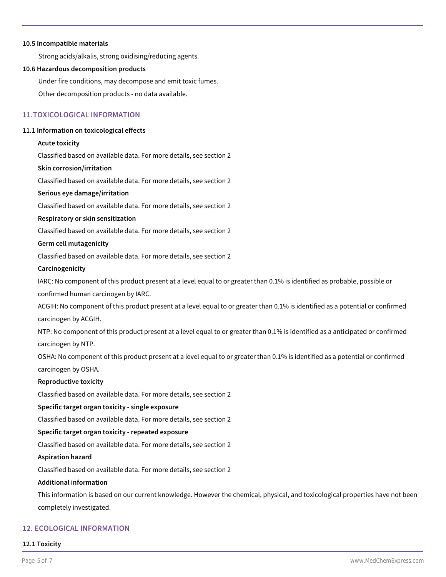### **10.5 Incompatible materials**

Strong acids/alkalis, strong oxidising/reducing agents.

### **10.6 Hazardous decomposition products**

Under fire conditions, may decompose and emit toxic fumes. Other decomposition products - no data available.

# **11.TOXICOLOGICAL INFORMATION**

#### **11.1 Information on toxicological effects**

#### **Acute toxicity**

Classified based on available data. For more details, see section 2

#### **Skin corrosion/irritation**

Classified based on available data. For more details, see section 2

### **Serious eye damage/irritation**

Classified based on available data. For more details, see section 2

#### **Respiratory or skin sensitization**

Classified based on available data. For more details, see section 2

#### **Germ cell mutagenicity**

Classified based on available data. For more details, see section 2

#### **Carcinogenicity**

IARC: No component of this product present at a level equal to or greater than 0.1% is identified as probable, possible or confirmed human carcinogen by IARC.

ACGIH: No component of this product present at a level equal to or greater than 0.1% is identified as a potential or confirmed carcinogen by ACGIH.

NTP: No component of this product present at a level equal to or greater than 0.1% is identified as a anticipated or confirmed carcinogen by NTP.

OSHA: No component of this product present at a level equal to or greater than 0.1% is identified as a potential or confirmed carcinogen by OSHA.

## **Reproductive toxicity**

Classified based on available data. For more details, see section 2

#### **Specific target organ toxicity - single exposure**

Classified based on available data. For more details, see section 2

# **Specific target organ toxicity - repeated exposure**

Classified based on available data. For more details, see section 2

#### **Aspiration hazard**

Classified based on available data. For more details, see section 2

## **Additional information**

This information is based on our current knowledge. However the chemical, physical, and toxicological properties have not been completely investigated.

# **12. ECOLOGICAL INFORMATION**

# **12.1 Toxicity**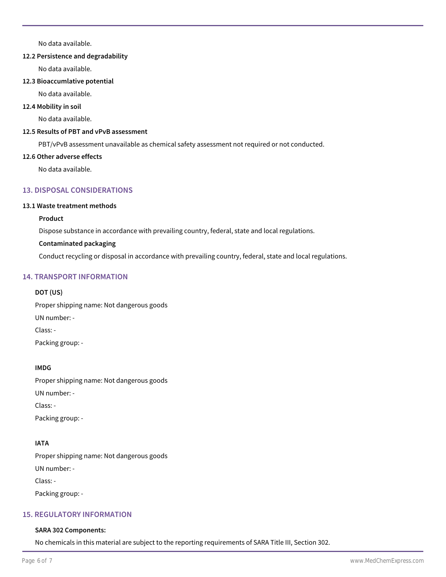No data available.

# **12.2 Persistence and degradability**

No data available.

## **12.3 Bioaccumlative potential**

No data available.

# **12.4 Mobility in soil**

No data available.

# **12.5 Results of PBT and vPvB assessment**

PBT/vPvB assessment unavailable as chemical safety assessment not required or not conducted.

# **12.6 Other adverse effects**

No data available.

# **13. DISPOSAL CONSIDERATIONS**

# **13.1 Waste treatment methods**

# **Product**

Dispose substance in accordance with prevailing country, federal, state and local regulations.

# **Contaminated packaging**

Conduct recycling or disposal in accordance with prevailing country, federal, state and local regulations.

# **14. TRANSPORT INFORMATION**

# **DOT (US)**

Proper shipping name: Not dangerous goods

UN number: -

Class: -

Packing group: -

# **IMDG**

Proper shipping name: Not dangerous goods UN number: - Class: - Packing group: -

# **IATA**

Proper shipping name: Not dangerous goods UN number: - Class: -

Packing group: -

# **15. REGULATORY INFORMATION**

# **SARA 302 Components:**

No chemicals in this material are subject to the reporting requirements of SARA Title III, Section 302.